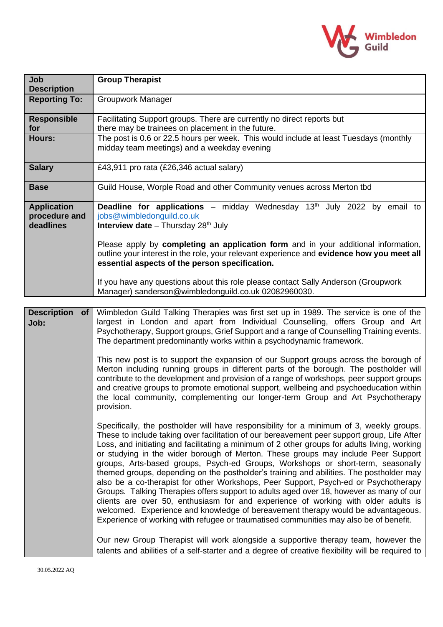

| Job<br><b>Description</b>                        | <b>Group Therapist</b>                                                                                                                                                                                                                                                                                                                                                                                                                                                                                                                                                                                                                                                                                                                                                                                                                                                                                                                                                                                          |  |  |  |
|--------------------------------------------------|-----------------------------------------------------------------------------------------------------------------------------------------------------------------------------------------------------------------------------------------------------------------------------------------------------------------------------------------------------------------------------------------------------------------------------------------------------------------------------------------------------------------------------------------------------------------------------------------------------------------------------------------------------------------------------------------------------------------------------------------------------------------------------------------------------------------------------------------------------------------------------------------------------------------------------------------------------------------------------------------------------------------|--|--|--|
| <b>Reporting To:</b>                             | Groupwork Manager                                                                                                                                                                                                                                                                                                                                                                                                                                                                                                                                                                                                                                                                                                                                                                                                                                                                                                                                                                                               |  |  |  |
| <b>Responsible</b><br>for                        | Facilitating Support groups. There are currently no direct reports but<br>there may be trainees on placement in the future.                                                                                                                                                                                                                                                                                                                                                                                                                                                                                                                                                                                                                                                                                                                                                                                                                                                                                     |  |  |  |
| Hours:                                           | The post is 0.6 or 22.5 hours per week. This would include at least Tuesdays (monthly<br>midday team meetings) and a weekday evening                                                                                                                                                                                                                                                                                                                                                                                                                                                                                                                                                                                                                                                                                                                                                                                                                                                                            |  |  |  |
| <b>Salary</b>                                    | £43,911 pro rata (£26,346 actual salary)                                                                                                                                                                                                                                                                                                                                                                                                                                                                                                                                                                                                                                                                                                                                                                                                                                                                                                                                                                        |  |  |  |
| <b>Base</b>                                      | Guild House, Worple Road and other Community venues across Merton tbd                                                                                                                                                                                                                                                                                                                                                                                                                                                                                                                                                                                                                                                                                                                                                                                                                                                                                                                                           |  |  |  |
| <b>Application</b><br>procedure and<br>deadlines | Deadline for applications - midday Wednesday 13 <sup>th</sup> July 2022 by email to<br>jobs@wimbledonguild.co.uk<br>Interview date - Thursday 28 <sup>th</sup> July                                                                                                                                                                                                                                                                                                                                                                                                                                                                                                                                                                                                                                                                                                                                                                                                                                             |  |  |  |
|                                                  | Please apply by completing an application form and in your additional information,<br>outline your interest in the role, your relevant experience and evidence how you meet all<br>essential aspects of the person specification.                                                                                                                                                                                                                                                                                                                                                                                                                                                                                                                                                                                                                                                                                                                                                                               |  |  |  |
|                                                  | If you have any questions about this role please contact Sally Anderson (Groupwork<br>Manager) sanderson@wimbledonguild.co.uk 02082960030.                                                                                                                                                                                                                                                                                                                                                                                                                                                                                                                                                                                                                                                                                                                                                                                                                                                                      |  |  |  |
|                                                  |                                                                                                                                                                                                                                                                                                                                                                                                                                                                                                                                                                                                                                                                                                                                                                                                                                                                                                                                                                                                                 |  |  |  |
| <b>Description</b><br><b>of</b><br>Job:          | Wimbledon Guild Talking Therapies was first set up in 1989. The service is one of the<br>largest in London and apart from Individual Counselling, offers Group and Art<br>Psychotherapy, Support groups, Grief Support and a range of Counselling Training events.<br>The department predominantly works within a psychodynamic framework.                                                                                                                                                                                                                                                                                                                                                                                                                                                                                                                                                                                                                                                                      |  |  |  |
|                                                  | This new post is to support the expansion of our Support groups across the borough of<br>Merton including running groups in different parts of the borough. The postholder will<br>contribute to the development and provision of a range of workshops, peer support groups<br>and creative groups to promote emotional support, wellbeing and psychoeducation within<br>the local community, complementing our longer-term Group and Art Psychotherapy<br>provision.                                                                                                                                                                                                                                                                                                                                                                                                                                                                                                                                           |  |  |  |
|                                                  | Specifically, the postholder will have responsibility for a minimum of 3, weekly groups.<br>These to include taking over facilitation of our bereavement peer support group, Life After<br>Loss, and initiating and facilitating a minimum of 2 other groups for adults living, working<br>or studying in the wider borough of Merton. These groups may include Peer Support<br>groups, Arts-based groups, Psych-ed Groups, Workshops or short-term, seasonally<br>themed groups, depending on the postholder's training and abilities. The postholder may<br>also be a co-therapist for other Workshops, Peer Support, Psych-ed or Psychotherapy<br>Groups. Talking Therapies offers support to adults aged over 18, however as many of our<br>clients are over 50, enthusiasm for and experience of working with older adults is<br>welcomed. Experience and knowledge of bereavement therapy would be advantageous.<br>Experience of working with refugee or traumatised communities may also be of benefit. |  |  |  |
|                                                  | Our new Group Therapist will work alongside a supportive therapy team, however the<br>talents and abilities of a self-starter and a degree of creative flexibility will be required to                                                                                                                                                                                                                                                                                                                                                                                                                                                                                                                                                                                                                                                                                                                                                                                                                          |  |  |  |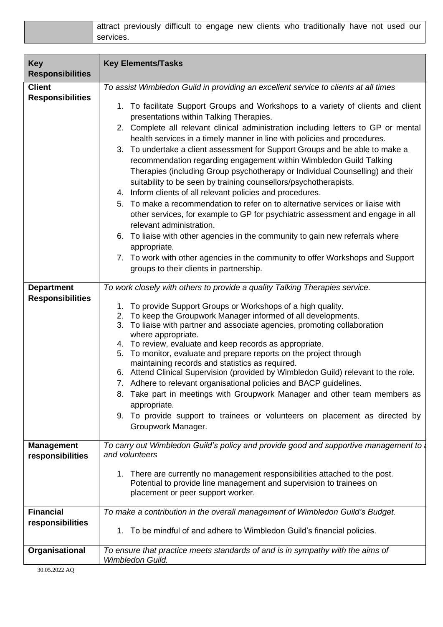| attract previously difficult to engage new clients who traditionally have not used our |  |  |  |  |  |
|----------------------------------------------------------------------------------------|--|--|--|--|--|
| services.                                                                              |  |  |  |  |  |

| <b>Key</b><br><b>Responsibilities</b>                                                    | <b>Key Elements/Tasks</b>                                                                                                                                                                                                                                                                                                                                                                                                                                                                                                                                                                                                                                                                                                                                                                                                                                                                                                                                                                                                                                                                                                                                                                                                                                                                                                                                                                                                                                                                                                                                                                                                                                                                                                                                                                                                                                                                                                                                                                                                                   |
|------------------------------------------------------------------------------------------|---------------------------------------------------------------------------------------------------------------------------------------------------------------------------------------------------------------------------------------------------------------------------------------------------------------------------------------------------------------------------------------------------------------------------------------------------------------------------------------------------------------------------------------------------------------------------------------------------------------------------------------------------------------------------------------------------------------------------------------------------------------------------------------------------------------------------------------------------------------------------------------------------------------------------------------------------------------------------------------------------------------------------------------------------------------------------------------------------------------------------------------------------------------------------------------------------------------------------------------------------------------------------------------------------------------------------------------------------------------------------------------------------------------------------------------------------------------------------------------------------------------------------------------------------------------------------------------------------------------------------------------------------------------------------------------------------------------------------------------------------------------------------------------------------------------------------------------------------------------------------------------------------------------------------------------------------------------------------------------------------------------------------------------------|
| <b>Client</b><br><b>Responsibilities</b><br><b>Department</b><br><b>Responsibilities</b> | To assist Wimbledon Guild in providing an excellent service to clients at all times<br>1. To facilitate Support Groups and Workshops to a variety of clients and client<br>presentations within Talking Therapies.<br>2. Complete all relevant clinical administration including letters to GP or mental<br>health services in a timely manner in line with policies and procedures.<br>3. To undertake a client assessment for Support Groups and be able to make a<br>recommendation regarding engagement within Wimbledon Guild Talking<br>Therapies (including Group psychotherapy or Individual Counselling) and their<br>suitability to be seen by training counsellors/psychotherapists.<br>4. Inform clients of all relevant policies and procedures.<br>5. To make a recommendation to refer on to alternative services or liaise with<br>other services, for example to GP for psychiatric assessment and engage in all<br>relevant administration.<br>6. To liaise with other agencies in the community to gain new referrals where<br>appropriate.<br>7. To work with other agencies in the community to offer Workshops and Support<br>groups to their clients in partnership.<br>To work closely with others to provide a quality Talking Therapies service.<br>1. To provide Support Groups or Workshops of a high quality.<br>2. To keep the Groupwork Manager informed of all developments.<br>3. To liaise with partner and associate agencies, promoting collaboration<br>where appropriate.<br>4. To review, evaluate and keep records as appropriate.<br>5. To monitor, evaluate and prepare reports on the project through<br>maintaining records and statistics as required.<br>6. Attend Clinical Supervision (provided by Wimbledon Guild) relevant to the role.<br>7. Adhere to relevant organisational policies and BACP guidelines.<br>8. Take part in meetings with Groupwork Manager and other team members as<br>appropriate.<br>9. To provide support to trainees or volunteers on placement as directed by |
| <b>Management</b><br>responsibilities                                                    | Groupwork Manager.<br>To carry out Wimbledon Guild's policy and provide good and supportive management to<br>and volunteers                                                                                                                                                                                                                                                                                                                                                                                                                                                                                                                                                                                                                                                                                                                                                                                                                                                                                                                                                                                                                                                                                                                                                                                                                                                                                                                                                                                                                                                                                                                                                                                                                                                                                                                                                                                                                                                                                                                 |
|                                                                                          | 1. There are currently no management responsibilities attached to the post.<br>Potential to provide line management and supervision to trainees on<br>placement or peer support worker.                                                                                                                                                                                                                                                                                                                                                                                                                                                                                                                                                                                                                                                                                                                                                                                                                                                                                                                                                                                                                                                                                                                                                                                                                                                                                                                                                                                                                                                                                                                                                                                                                                                                                                                                                                                                                                                     |
| <b>Financial</b><br>responsibilities                                                     | To make a contribution in the overall management of Wimbledon Guild's Budget.<br>1. To be mindful of and adhere to Wimbledon Guild's financial policies.                                                                                                                                                                                                                                                                                                                                                                                                                                                                                                                                                                                                                                                                                                                                                                                                                                                                                                                                                                                                                                                                                                                                                                                                                                                                                                                                                                                                                                                                                                                                                                                                                                                                                                                                                                                                                                                                                    |
| Organisational                                                                           | To ensure that practice meets standards of and is in sympathy with the aims of<br>Wimbledon Guild.                                                                                                                                                                                                                                                                                                                                                                                                                                                                                                                                                                                                                                                                                                                                                                                                                                                                                                                                                                                                                                                                                                                                                                                                                                                                                                                                                                                                                                                                                                                                                                                                                                                                                                                                                                                                                                                                                                                                          |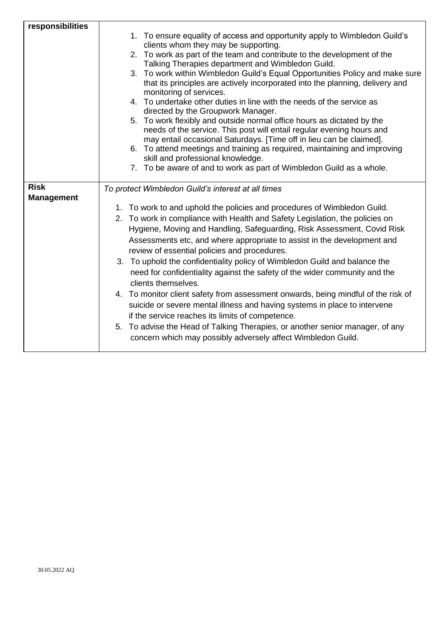| responsibilities  |                                                                                                                                                                                                                        |
|-------------------|------------------------------------------------------------------------------------------------------------------------------------------------------------------------------------------------------------------------|
|                   | 1. To ensure equality of access and opportunity apply to Wimbledon Guild's<br>clients whom they may be supporting.                                                                                                     |
|                   | 2. To work as part of the team and contribute to the development of the                                                                                                                                                |
|                   | Talking Therapies department and Wimbledon Guild.                                                                                                                                                                      |
|                   | 3. To work within Wimbledon Guild's Equal Opportunities Policy and make sure<br>that its principles are actively incorporated into the planning, delivery and<br>monitoring of services.                               |
|                   | 4. To undertake other duties in line with the needs of the service as<br>directed by the Groupwork Manager.                                                                                                            |
|                   | 5. To work flexibly and outside normal office hours as dictated by the<br>needs of the service. This post will entail regular evening hours and<br>may entail occasional Saturdays. [Time off in lieu can be claimed]. |
|                   | 6. To attend meetings and training as required, maintaining and improving                                                                                                                                              |
|                   | skill and professional knowledge.<br>7. To be aware of and to work as part of Wimbledon Guild as a whole.                                                                                                              |
|                   |                                                                                                                                                                                                                        |
| <b>Risk</b>       | To protect Wimbledon Guild's interest at all times                                                                                                                                                                     |
| <b>Management</b> |                                                                                                                                                                                                                        |
|                   | 1. To work to and uphold the policies and procedures of Wimbledon Guild.                                                                                                                                               |
|                   | 2. To work in compliance with Health and Safety Legislation, the policies on                                                                                                                                           |
|                   | Hygiene, Moving and Handling, Safeguarding, Risk Assessment, Covid Risk<br>Assessments etc, and where appropriate to assist in the development and<br>review of essential policies and procedures.                     |
|                   | 3. To uphold the confidentiality policy of Wimbledon Guild and balance the<br>need for confidentiality against the safety of the wider community and the<br>clients themselves.                                        |
|                   | 4. To monitor client safety from assessment onwards, being mindful of the risk of<br>suicide or severe mental illness and having systems in place to intervene<br>if the service reaches its limits of competence.     |
|                   | 5. To advise the Head of Talking Therapies, or another senior manager, of any<br>concern which may possibly adversely affect Wimbledon Guild.                                                                          |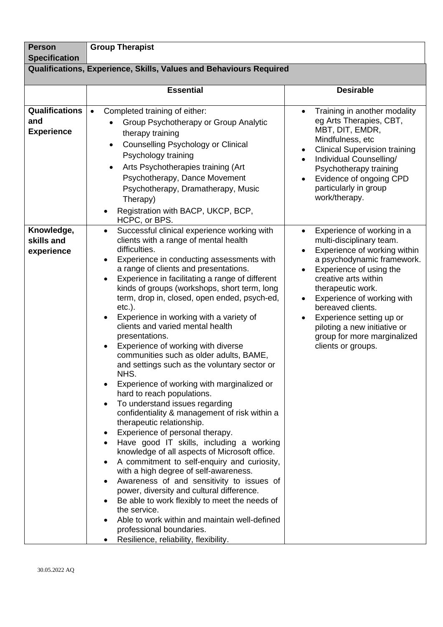| <b>Person</b><br><b>Specification</b>             | <b>Group Therapist</b>                                                                                                                                                                                                                                                                                                                                                                                                                                                                                                                                                                                                                                                                                                                                                                                                                                                                                                                                                                                                                                                                                                                                                                                                                                                                                                               |                                                                                                                                                                                                                                                                                                                                                                                            |  |  |  |
|---------------------------------------------------|--------------------------------------------------------------------------------------------------------------------------------------------------------------------------------------------------------------------------------------------------------------------------------------------------------------------------------------------------------------------------------------------------------------------------------------------------------------------------------------------------------------------------------------------------------------------------------------------------------------------------------------------------------------------------------------------------------------------------------------------------------------------------------------------------------------------------------------------------------------------------------------------------------------------------------------------------------------------------------------------------------------------------------------------------------------------------------------------------------------------------------------------------------------------------------------------------------------------------------------------------------------------------------------------------------------------------------------|--------------------------------------------------------------------------------------------------------------------------------------------------------------------------------------------------------------------------------------------------------------------------------------------------------------------------------------------------------------------------------------------|--|--|--|
|                                                   | Qualifications, Experience, Skills, Values and Behaviours Required                                                                                                                                                                                                                                                                                                                                                                                                                                                                                                                                                                                                                                                                                                                                                                                                                                                                                                                                                                                                                                                                                                                                                                                                                                                                   |                                                                                                                                                                                                                                                                                                                                                                                            |  |  |  |
|                                                   | <b>Essential</b>                                                                                                                                                                                                                                                                                                                                                                                                                                                                                                                                                                                                                                                                                                                                                                                                                                                                                                                                                                                                                                                                                                                                                                                                                                                                                                                     | <b>Desirable</b>                                                                                                                                                                                                                                                                                                                                                                           |  |  |  |
| <b>Qualifications</b><br>and<br><b>Experience</b> | Completed training of either:<br>$\bullet$<br>Group Psychotherapy or Group Analytic<br>therapy training<br>Counselling Psychology or Clinical<br>$\bullet$<br>Psychology training<br>Arts Psychotherapies training (Art<br>Psychotherapy, Dance Movement<br>Psychotherapy, Dramatherapy, Music<br>Therapy)<br>Registration with BACP, UKCP, BCP,<br>HCPC, or BPS.                                                                                                                                                                                                                                                                                                                                                                                                                                                                                                                                                                                                                                                                                                                                                                                                                                                                                                                                                                    | Training in another modality<br>eg Arts Therapies, CBT,<br>MBT, DIT, EMDR,<br>Mindfulness, etc<br><b>Clinical Supervision training</b><br>$\bullet$<br>Individual Counselling/<br>$\bullet$<br>Psychotherapy training<br>Evidence of ongoing CPD<br>particularly in group<br>work/therapy.                                                                                                 |  |  |  |
| Knowledge,<br>skills and<br>experience            | Successful clinical experience working with<br>$\bullet$<br>clients with a range of mental health<br>difficulties.<br>Experience in conducting assessments with<br>a range of clients and presentations.<br>Experience in facilitating a range of different<br>$\bullet$<br>kinds of groups (workshops, short term, long<br>term, drop in, closed, open ended, psych-ed,<br>$etc.$ ).<br>Experience in working with a variety of<br>clients and varied mental health<br>presentations.<br>Experience of working with diverse<br>communities such as older adults, BAME,<br>and settings such as the voluntary sector or<br>NHS.<br>Experience of working with marginalized or<br>hard to reach populations.<br>To understand issues regarding<br>confidentiality & management of risk within a<br>therapeutic relationship.<br>Experience of personal therapy.<br>Have good IT skills, including a working<br>knowledge of all aspects of Microsoft office.<br>A commitment to self-enquiry and curiosity,<br>with a high degree of self-awareness.<br>Awareness of and sensitivity to issues of<br>power, diversity and cultural difference.<br>Be able to work flexibly to meet the needs of<br>the service.<br>Able to work within and maintain well-defined<br>professional boundaries.<br>Resilience, reliability, flexibility. | Experience of working in a<br>$\bullet$<br>multi-disciplinary team.<br>Experience of working within<br>a psychodynamic framework.<br>Experience of using the<br>$\bullet$<br>creative arts within<br>therapeutic work.<br>Experience of working with<br>bereaved clients.<br>Experience setting up or<br>piloting a new initiative or<br>group for more marginalized<br>clients or groups. |  |  |  |